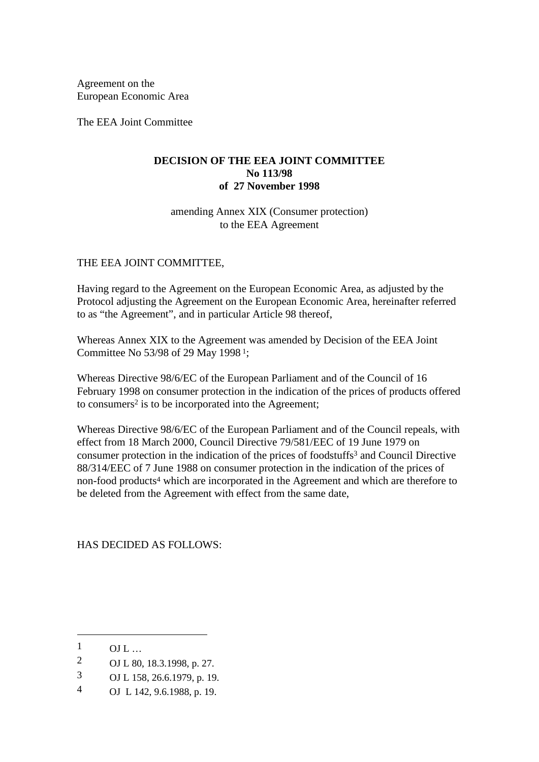Agreement on the European Economic Area

The EEA Joint Committee

### **DECISION OF THE EEA JOINT COMMITTEE No 113/98 of 27 November 1998**

amending Annex XIX (Consumer protection) to the EEA Agreement

## THE EEA JOINT COMMITTEE,

Having regard to the Agreement on the European Economic Area, as adjusted by the Protocol adjusting the Agreement on the European Economic Area, hereinafter referred to as "the Agreement", and in particular Article 98 thereof,

Whereas Annex XIX to the Agreement was amended by Decision of the EEA Joint Committee No 53/98 of 29 May 1998 1;

Whereas Directive 98/6/EC of the European Parliament and of the Council of 16 February 1998 on consumer protection in the indication of the prices of products offered to consumers2 is to be incorporated into the Agreement;

Whereas Directive 98/6/EC of the European Parliament and of the Council repeals, with effect from 18 March 2000, Council Directive 79/581/EEC of 19 June 1979 on consumer protection in the indication of the prices of foodstuffs3 and Council Directive 88/314/EEC of 7 June 1988 on consumer protection in the indication of the prices of non-food products4 which are incorporated in the Agreement and which are therefore to be deleted from the Agreement with effect from the same date,

HAS DECIDED AS FOLLOWS:

-

- 2 OJ L 80, 18.3.1998, p. 27.
- 3 OJ L 158, 26.6.1979, p. 19.
- 4 OJ L 142, 9.6.1988, p. 19.

 $\frac{1}{2}$  OJ L ...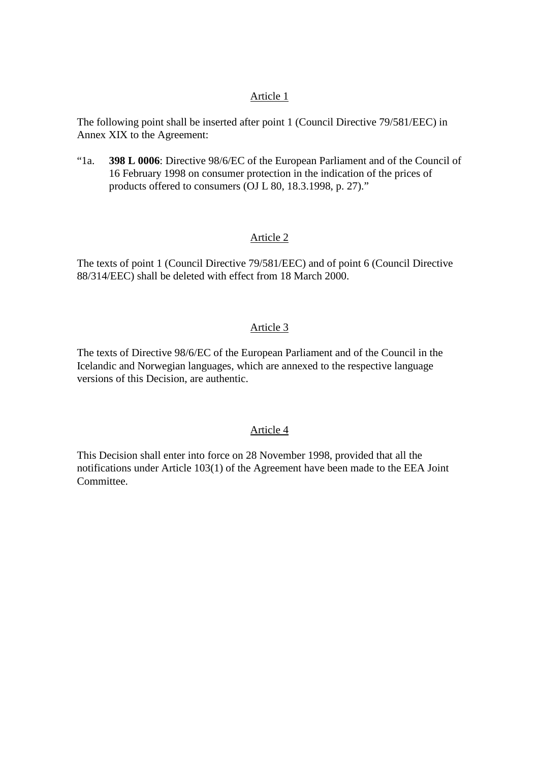### Article 1

The following point shall be inserted after point 1 (Council Directive 79/581/EEC) in Annex XIX to the Agreement:

"1a. **398 L 0006**: Directive 98/6/EC of the European Parliament and of the Council of 16 February 1998 on consumer protection in the indication of the prices of products offered to consumers (OJ L 80, 18.3.1998, p. 27)."

# Article 2

The texts of point 1 (Council Directive 79/581/EEC) and of point 6 (Council Directive 88/314/EEC) shall be deleted with effect from 18 March 2000.

## Article 3

The texts of Directive 98/6/EC of the European Parliament and of the Council in the Icelandic and Norwegian languages, which are annexed to the respective language versions of this Decision, are authentic.

### Article 4

This Decision shall enter into force on 28 November 1998, provided that all the notifications under Article 103(1) of the Agreement have been made to the EEA Joint Committee.